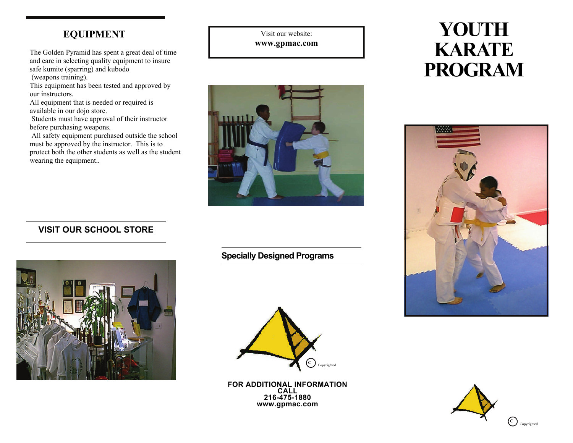### **EQUIPMENT**

The Golden Pyramid has spent a great deal of time and care in selecting quality equipment to insure safe kumite (sparring) and kubodo (weapons training).

This equipment has been tested and approved by our instructors.

All equipment that is needed or required is available in our dojo store.

 Students must have approval of their instructor before purchasing weapons.

 All safety equipment purchased outside the school must be approved by the instructor. This is to protect both the other students as well as the student wearing the equipment..

Visit our website: **www.gpmac.com** 



# **YOUTH KARATE PROGRAM**



#### **VISIT OUR SCHOOL STORE**



**Specially Designed Programs** 



**FOR ADDITIONAL INFORMATION CALL 216-475-1880 www.gpmac.com**